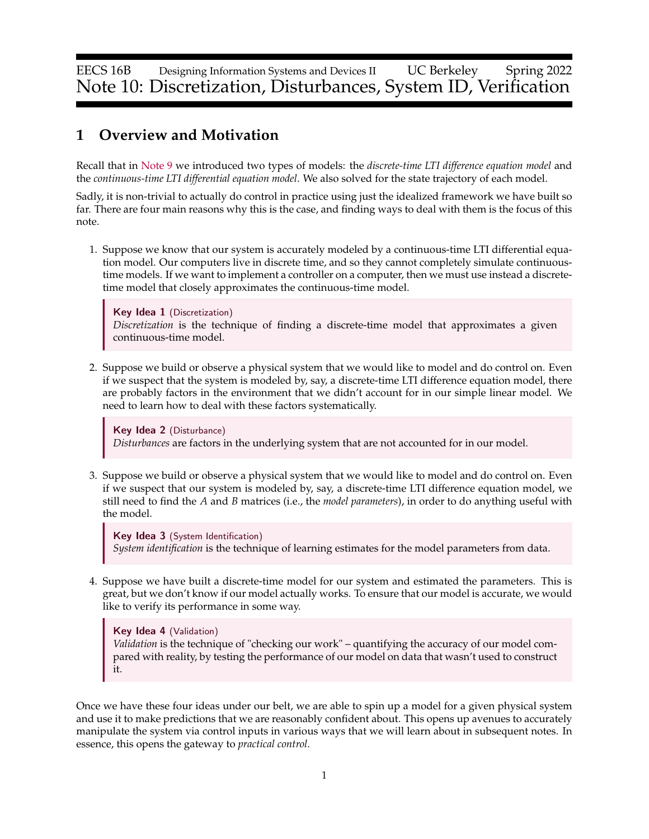EECS 16B Designing Information Systems and Devices II UC Berkeley Spring 2022 Note 10: Discretization, Disturbances, System ID, Verification

# **1 Overview and Motivation**

Recall that in [Note 9](https://www.eecs16b.org/notes/sp22/note09.pdf) we introduced two types of models: the *discrete-time LTI difference equation model* and the *continuous-time LTI differential equation model*. We also solved for the state trajectory of each model.

Sadly, it is non-trivial to actually do control in practice using just the idealized framework we have built so far. There are four main reasons why this is the case, and finding ways to deal with them is the focus of this note.

1. Suppose we know that our system is accurately modeled by a continuous-time LTI differential equation model. Our computers live in discrete time, and so they cannot completely simulate continuoustime models. If we want to implement a controller on a computer, then we must use instead a discretetime model that closely approximates the continuous-time model.

Key Idea 1 (Discretization) *Discretization* is the technique of finding a discrete-time model that approximates a given continuous-time model.

2. Suppose we build or observe a physical system that we would like to model and do control on. Even if we suspect that the system is modeled by, say, a discrete-time LTI difference equation model, there are probably factors in the environment that we didn't account for in our simple linear model. We need to learn how to deal with these factors systematically.

Key Idea 2 (Disturbance) *Disturbances* are factors in the underlying system that are not accounted for in our model.

3. Suppose we build or observe a physical system that we would like to model and do control on. Even if we suspect that our system is modeled by, say, a discrete-time LTI difference equation model, we still need to find the *A* and *B* matrices (i.e., the *model parameters*), in order to do anything useful with the model.

Key Idea 3 (System Identification) *System identification* is the technique of learning estimates for the model parameters from data.

4. Suppose we have built a discrete-time model for our system and estimated the parameters. This is great, but we don't know if our model actually works. To ensure that our model is accurate, we would like to verify its performance in some way.

### Key Idea 4 (Validation)

*Validation* is the technique of "checking our work" – quantifying the accuracy of our model compared with reality, by testing the performance of our model on data that wasn't used to construct it.

Once we have these four ideas under our belt, we are able to spin up a model for a given physical system and use it to make predictions that we are reasonably confident about. This opens up avenues to accurately manipulate the system via control inputs in various ways that we will learn about in subsequent notes. In essence, this opens the gateway to *practical control*.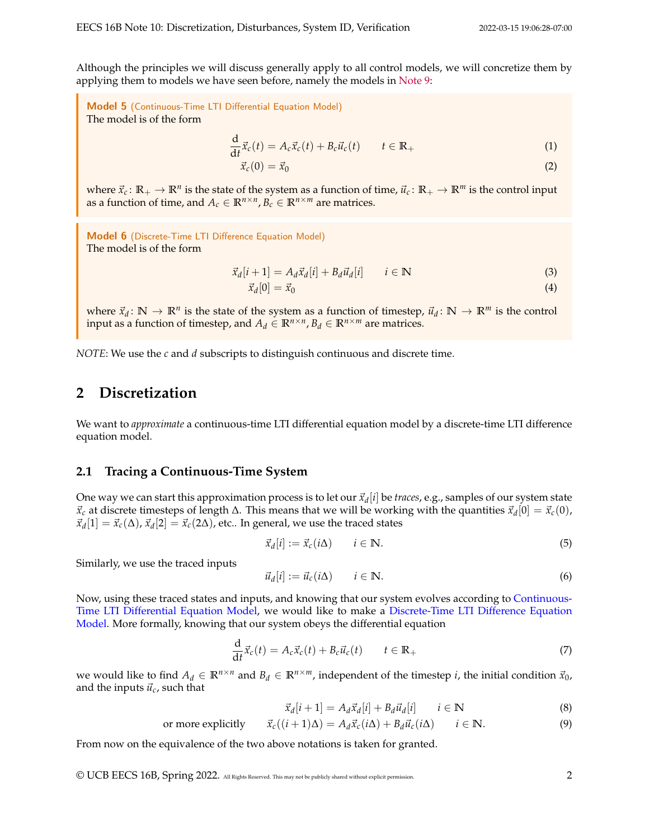Although the principles we will discuss generally apply to all control models, we will concretize them by applying them to models we have seen before, namely the models in [Note 9:](https://www.eecs16b.org/notes/sp22/note09.pdf)

<span id="page-1-0"></span>Model 5 (Continuous-Time LTI Differential Equation Model) The model is of the form

$$
\frac{\mathrm{d}}{\mathrm{d}t}\vec{x}_c(t) = A_c\vec{x}_c(t) + B_c\vec{u}_c(t) \qquad t \in \mathbb{R}_+ \tag{1}
$$

$$
\vec{x}_c(0) = \vec{x}_0 \tag{2}
$$

where  $\vec{x}_c$ :  $\mathbb{R}_+ \to \mathbb{R}^n$  is the state of the system as a function of time,  $\vec{u}_c$ :  $\mathbb{R}_+ \to \mathbb{R}^m$  is the control input as a function of time, and  $A_c \in \mathbb{R}^{n \times n}$ ,  $B_c \in \mathbb{R}^{n \times m}$  are matrices.

<span id="page-1-1"></span>Model 6 (Discrete-Time LTI Difference Equation Model) The model is of the form

<span id="page-1-2"></span>
$$
\vec{x}_d[i+1] = A_d \vec{x}_d[i] + B_d \vec{u}_d[i] \qquad i \in \mathbb{N}
$$
\n
$$
\vec{x}_d[0] = \vec{x}_0 \tag{3}
$$

where  $\vec{x}_d \colon \mathbb{N} \to \mathbb{R}^n$  is the state of the system as a function of timestep,  $\vec{u}_d \colon \mathbb{N} \to \mathbb{R}^m$  is the control input as a function of timestep, and  $A_d \in \mathbb{R}^{n \times n}$ ,  $B_d \in \mathbb{R}^{n \times m}$  are matrices.

*NOTE*: We use the *c* and *d* subscripts to distinguish continuous and discrete time.

## **2 Discretization**

We want to *approximate* a continuous-time LTI differential equation model by a discrete-time LTI difference equation model.

#### **2.1 Tracing a Continuous-Time System**

One way we can start this approximation process is to let our  $\vec{x}_d[i]$  be *traces,* e.g., samples of our system state  $\vec{x}_c$  at discrete timesteps of length Δ. This means that we will be working with the quantities  $\vec{x}_d$ [0] =  $\vec{x}_c$ (0),  $\vec{x}_d[1] = \vec{x}_c(\Delta)$ ,  $\vec{x}_d[2] = \vec{x}_c(2\Delta)$ , etc.. In general, we use the traced states

$$
\vec{x}_d[i] := \vec{x}_c(i\Delta) \qquad i \in \mathbb{N}.\tag{5}
$$

Similarly, we use the traced inputs

$$
\vec{u}_d[i] := \vec{u}_c(i\Delta) \qquad i \in \mathbb{N}.\tag{6}
$$

Now, using these traced states and inputs, and knowing that our system evolves according to [Continuous-](#page-1-0)[Time LTI Differential Equation Model,](#page-1-0) we would like to make a [Discrete-Time LTI Difference Equation](#page-1-1) [Model.](#page-1-1) More formally, knowing that our system obeys the differential equation

$$
\frac{\mathrm{d}}{\mathrm{d}t}\vec{x}_c(t) = A_c \vec{x}_c(t) + B_c \vec{u}_c(t) \qquad t \in \mathbb{R}_+ \tag{7}
$$

we would like to find  $A_d \in \mathbb{R}^{n \times n}$  and  $B_d \in \mathbb{R}^{n \times m}$ , independent of the timestep *i*, the initial condition  $\vec{x}_0$ , and the inputs  $\vec{u}_c$ , such that

$$
\vec{x}_d[i+1] = A_d \vec{x}_d[i] + B_d \vec{u}_d[i] \qquad i \in \mathbb{N}
$$
\n(8)

or more explicitly 
$$
\vec{x}_c((i+1)\Delta) = A_d \vec{x}_c(i\Delta) + B_d \vec{u}_c(i\Delta)
$$
  $i \in \mathbb{N}$ . (9)

From now on the equivalence of the two above notations is taken for granted.

© UCB EECS 16B, Spring 2022. All Rights Reserved. This may not be publicly shared without explicit permission. 2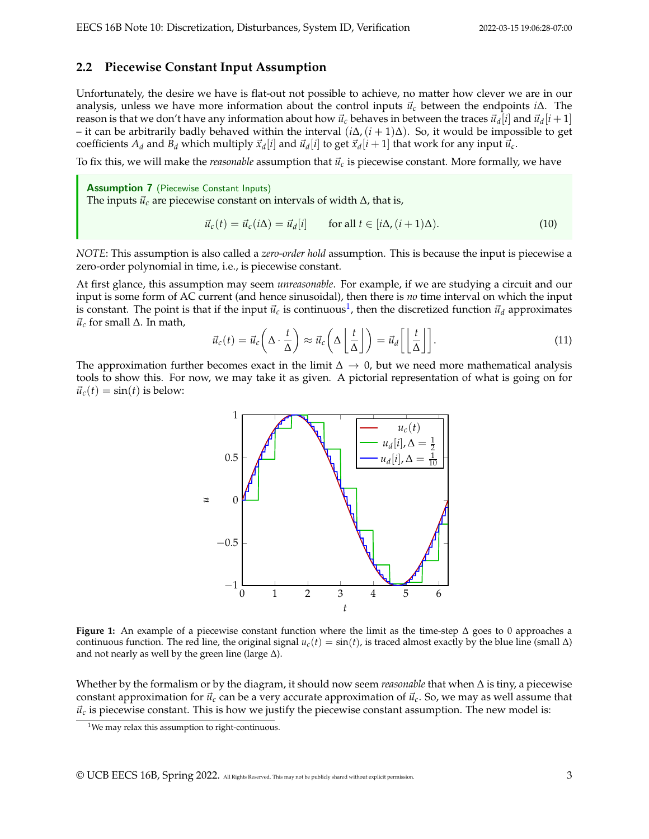#### **2.2 Piecewise Constant Input Assumption**

Unfortunately, the desire we have is flat-out not possible to achieve, no matter how clever we are in our analysis, unless we have more information about the control inputs ⃗*u<sup>c</sup>* between the endpoints *i*∆. The reason is that we don't have any information about how  $\vec{u}_c$  behaves in between the traces  $\vec{u}_d[i]$  and  $\vec{u}_d[i+1]$ – it can be arbitrarily badly behaved within the interval (*i*∆,(*i* + 1)∆). So, it would be impossible to get coefficients  $A_d$  and  $B_d$  which multiply  $\vec{x}_d[i]$  and  $\vec{u}_d[i]$  to get  $\vec{x}_d[i+1]$  that work for any input  $\vec{u}_c$ .

To fix this, we will make the *reasonable* assumption that  $\vec{u}_c$  is piecewise constant. More formally, we have

Assumption 7 (Piecewise Constant Inputs) The inputs  $\vec{u}_c$  are piecewise constant on intervals of width  $\Delta$ , that is,

$$
\vec{u}_c(t) = \vec{u}_c(i\Delta) = \vec{u}_d[i] \quad \text{for all } t \in [i\Delta, (i+1)\Delta). \tag{10}
$$

*NOTE*: This assumption is also called a *zero-order hold* assumption. This is because the input is piecewise a zero-order polynomial in time, i.e., is piecewise constant.

At first glance, this assumption may seem *unreasonable*. For example, if we are studying a circuit and our input is some form of AC current (and hence sinusoidal), then there is *no* time interval on which the input is constant. The point is that if the input  $\vec{u}_c$  is continuous<sup>[1](#page-2-0)</sup>, then the discretized function  $\vec{u}_d$  approximates  $\vec{u}_c$  for small  $\Delta$ . In math,

$$
\vec{u}_c(t) = \vec{u}_c\left(\Delta \cdot \frac{t}{\Delta}\right) \approx \vec{u}_c\left(\Delta \left\lfloor \frac{t}{\Delta} \right\rfloor\right) = \vec{u}_d\left[\left\lfloor \frac{t}{\Delta} \right\rfloor\right].\tag{11}
$$

The approximation further becomes exact in the limit  $\Delta \to 0$ , but we need more mathematical analysis tools to show this. For now, we may take it as given. A pictorial representation of what is going on for  $\vec{u}_c(t) = \sin(t)$  is below:



**Figure 1:** An example of a piecewise constant function where the limit as the time-step ∆ goes to 0 approaches a continuous function. The red line, the original signal  $u_c(t) = \sin(t)$ , is traced almost exactly by the blue line (small  $\Delta$ ) and not nearly as well by the green line (large  $\Delta$ ).

Whether by the formalism or by the diagram, it should now seem *reasonable* that when ∆ is tiny, a piecewise constant approximation for  $\vec{u}_c$  can be a very accurate approximation of  $\vec{u}_c$ . So, we may as well assume that  $\vec{u}_c$  is piecewise constant. This is how we justify the piecewise constant assumption. The new model is:

<span id="page-2-0"></span><sup>&</sup>lt;sup>1</sup>We may relax this assumption to right-continuous.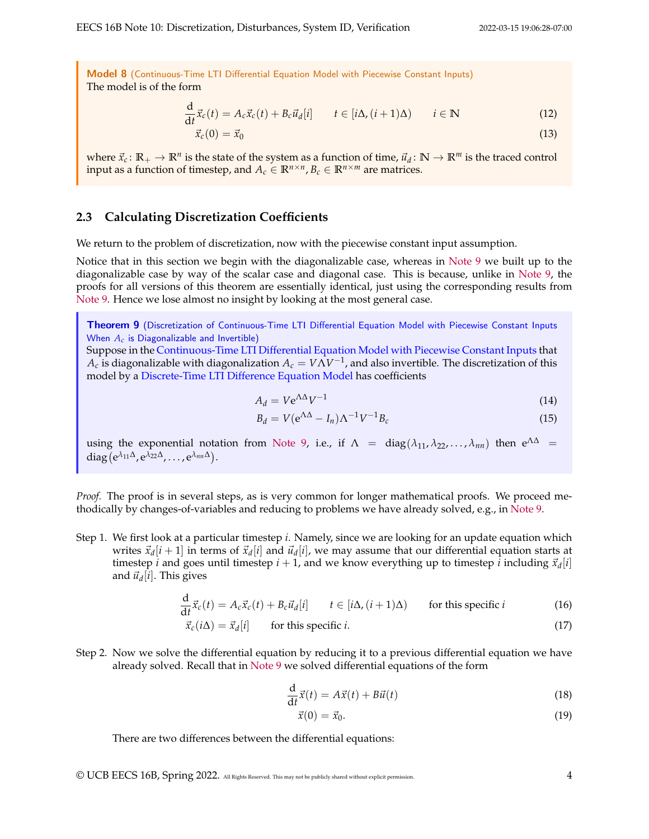<span id="page-3-0"></span>Model 8 (Continuous-Time LTI Differential Equation Model with Piecewise Constant Inputs) The model is of the form

$$
\frac{\mathrm{d}}{\mathrm{d}t}\vec{x}_c(t) = A_c \vec{x}_c(t) + B_c \vec{u}_d[i] \qquad t \in [i\Delta, (i+1)\Delta) \qquad i \in \mathbb{N} \tag{12}
$$

$$
\vec{x}_c(0) = \vec{x}_0 \tag{13}
$$

where  $\vec{x}_c$ :  $\mathbb{R}_+ \to \mathbb{R}^n$  is the state of the system as a function of time,  $\vec{u}_d$ :  $\mathbb{N} \to \mathbb{R}^m$  is the traced control input as a function of timestep, and  $A_c \in \mathbb{R}^{n \times n}$ ,  $B_c \in \mathbb{R}^{n \times m}$  are matrices.

#### **2.3 Calculating Discretization Coefficients**

We return to the problem of discretization, now with the piecewise constant input assumption.

Notice that in this section we begin with the diagonalizable case, whereas in [Note 9](https://www.eecs16b.org/notes/sp22/note09.pdf) we built up to the diagonalizable case by way of the scalar case and diagonal case. This is because, unlike in [Note 9,](https://www.eecs16b.org/notes/sp22/note09.pdf) the proofs for all versions of this theorem are essentially identical, just using the corresponding results from [Note 9.](https://www.eecs16b.org/notes/sp22/note09.pdf) Hence we lose almost no insight by looking at the most general case.

<span id="page-3-1"></span>Theorem 9 (Discretization of [Continuous-Time LTI Differential Equation Model with Piecewise Constant Inputs](#page-3-0) When *A<sup>c</sup>* is Diagonalizable and Invertible)

Suppose in the [Continuous-Time LTI Differential Equation Model with Piecewise Constant Inputs](#page-3-0) that  $A_c$  is diagonalizable with diagonalization  $A_c = V\hat{\Lambda} V^{-1}$ , and also invertible. The discretization of this model by a [Discrete-Time LTI Difference Equation Model](#page-1-1) has coefficients

$$
A_d = V e^{\Lambda \Delta} V^{-1} \tag{14}
$$

$$
B_d = V(e^{\Lambda \Delta} - I_n) \Lambda^{-1} V^{-1} B_c \tag{15}
$$

using the exponential notation from [Note 9,](https://www.eecs16b.org/notes/sp22/note09.pdf) i.e., if  $\Lambda = \text{diag}(\lambda_{11}, \lambda_{22}, \ldots, \lambda_{nn})$  then  $e^{\Lambda \Delta} =$ diag (e<sup>λ</sup>11<sup>Δ</sup>, e<sup>λ</sup>22<sup>Δ</sup>, . . . , e<sup>λ<sub>*nn*</sub>Δ</sup>).

*Proof.* The proof is in several steps, as is very common for longer mathematical proofs. We proceed methodically by changes-of-variables and reducing to problems we have already solved, e.g., in [Note 9.](https://www.eecs16b.org/notes/sp22/note09.pdf)

Step 1. We first look at a particular timestep *i*. Namely, since we are looking for an update equation which writes  $\vec{x}_d[i+1]$  in terms of  $\vec{x}_d[i]$  and  $\vec{u}_d[i]$ , we may assume that our differential equation starts at timestep *i* and goes until timestep  $i + 1$ , and we know everything up to timestep *i* including  $\vec{x}_d[i]$ and  $\vec{u}_d[i]$ . This gives

$$
\frac{d}{dt}\vec{x}_c(t) = A_c\vec{x}_c(t) + B_c\vec{u}_d[i] \qquad t \in [i\Delta, (i+1)\Delta) \qquad \text{for this specific } i \tag{16}
$$

$$
\vec{x}_c(i\Delta) = \vec{x}_d[i] \qquad \text{for this specific } i. \tag{17}
$$

Step 2. Now we solve the differential equation by reducing it to a previous differential equation we have already solved. Recall that in [Note 9](https://www.eecs16b.org/notes/sp22/note09.pdf) we solved differential equations of the form

$$
\frac{\mathrm{d}}{\mathrm{d}t}\vec{x}(t) = A\vec{x}(t) + B\vec{u}(t)
$$
\n(18)

$$
\vec{x}(0) = \vec{x}_0. \tag{19}
$$

There are two differences between the differential equations:

© UCB EECS 16B, Spring 2022. All Rights Reserved. This may not be publicly shared without explicit permission. 4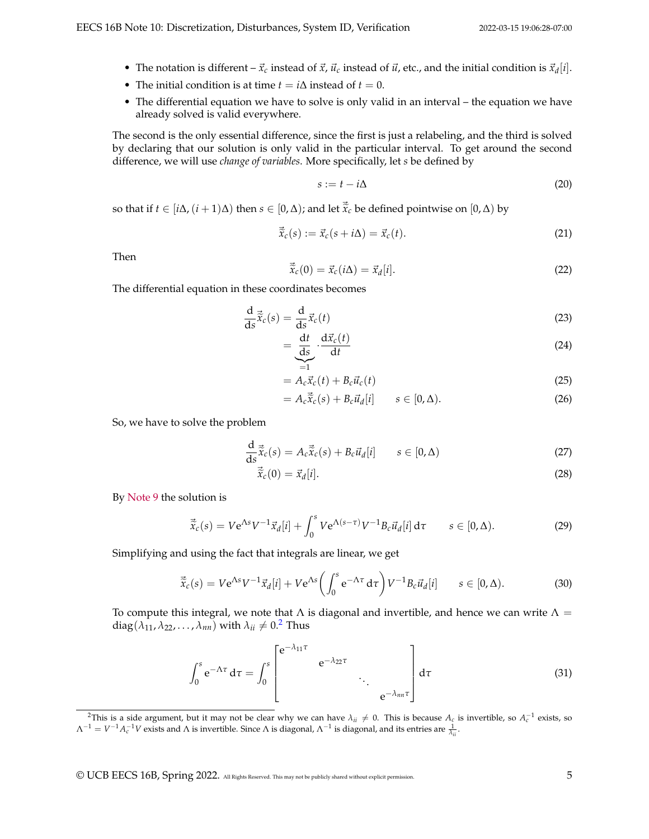- The notation is different  $-\vec{x}_c$  instead of  $\vec{x}$ ,  $\vec{u}_c$  instead of  $\vec{u}$ , etc., and the initial condition is  $\vec{x}_d[i]$ .
- The initial condition is at time  $t = i\Delta$  instead of  $t = 0$ .
- The differential equation we have to solve is only valid in an interval the equation we have already solved is valid everywhere.

The second is the only essential difference, since the first is just a relabeling, and the third is solved by declaring that our solution is only valid in the particular interval. To get around the second difference, we will use *change of variables*. More specifically, let *s* be defined by

$$
s := t - i\Delta \tag{20}
$$

so that if  $t \in [i\Delta, (i+1)\Delta)$  then  $s \in [0,\Delta)$ ; and let  $\vec{\tilde{x}}_c$  be defined pointwise on  $[0,\Delta)$  by

$$
\vec{\tilde{x}}_c(s) := \vec{x}_c(s + i\Delta) = \vec{x}_c(t). \tag{21}
$$

Then

$$
\vec{\tilde{x}}_c(0) = \vec{x}_c(i\Delta) = \vec{x}_d[i].
$$
\n(22)

The differential equation in these coordinates becomes

$$
\frac{\mathrm{d}}{\mathrm{d}s}\vec{\tilde{x}}_c(s) = \frac{\mathrm{d}}{\mathrm{d}s}\vec{x}_c(t)
$$
\n(23)

$$
=\underbrace{\frac{\mathrm{d}t}{\mathrm{d}s}}_{=1}\cdot\frac{\mathrm{d}\vec{x}_c(t)}{\mathrm{d}t}
$$
\n(24)

$$
=A_c \vec{x}_c(t) + B_c \vec{u}_c(t)
$$
\n(25)

$$
= A_c \vec{\tilde{x}}_c(s) + B_c \vec{u}_d[i] \qquad s \in [0, \Delta). \tag{26}
$$

So, we have to solve the problem

$$
\frac{\mathrm{d}}{\mathrm{d}s}\vec{\tilde{x}}_c(s) = A_c \vec{\tilde{x}}_c(s) + B_c \vec{u}_d[i] \qquad s \in [0, \Delta)
$$
\n(27)

$$
\vec{\tilde{x}}_c(0) = \vec{x}_d[i].\tag{28}
$$

By [Note 9](https://www.eecs16b.org/notes/sp22/note09.pdf) the solution is

$$
\vec{\tilde{x}}_c(s) = V e^{\Lambda s} V^{-1} \vec{x}_d[i] + \int_0^s V e^{\Lambda(s-\tau)} V^{-1} B_c \vec{u}_d[i] d\tau \qquad s \in [0,\Delta).
$$
 (29)

Simplifying and using the fact that integrals are linear, we get

$$
\vec{\tilde{x}}_c(s) = V e^{\Lambda s} V^{-1} \vec{x}_d[i] + V e^{\Lambda s} \left( \int_0^s e^{-\Lambda \tau} d\tau \right) V^{-1} B_c \vec{u}_d[i] \qquad s \in [0, \Delta). \tag{30}
$$

To compute this integral, we note that  $\Lambda$  is diagonal and invertible, and hence we can write  $\Lambda =$  $diag(\lambda_{11}, \lambda_{22}, \ldots, \lambda_{nn})$  $diag(\lambda_{11}, \lambda_{22}, \ldots, \lambda_{nn})$  $diag(\lambda_{11}, \lambda_{22}, \ldots, \lambda_{nn})$  with  $\lambda_{ii} \neq 0.2$  Thus

$$
\int_0^s e^{-\Lambda \tau} d\tau = \int_0^s \begin{bmatrix} e^{-\lambda_{11} \tau} & e^{-\lambda_{22} \tau} \\ e^{-\lambda_{22} \tau} & \cdot \\ e^{-\lambda_{nn} \tau} \end{bmatrix} d\tau \tag{31}
$$

<span id="page-4-0"></span><sup>&</sup>lt;sup>2</sup>This is a side argument, but it may not be clear why we can have  $\lambda_{ii} \neq 0$ . This is because  $A_c$  is invertible, so  $A_c^{-1}$  exists, so  $\Lambda^{-1} = V^{-1} A_c^{-1} V$  exists and  $\Lambda$  is invertible. Since  $\Lambda$  is diagonal,  $\Lambda^{-1}$  is diagonal, and its entries are  $\frac{1}{\lambda_{ii}}$ .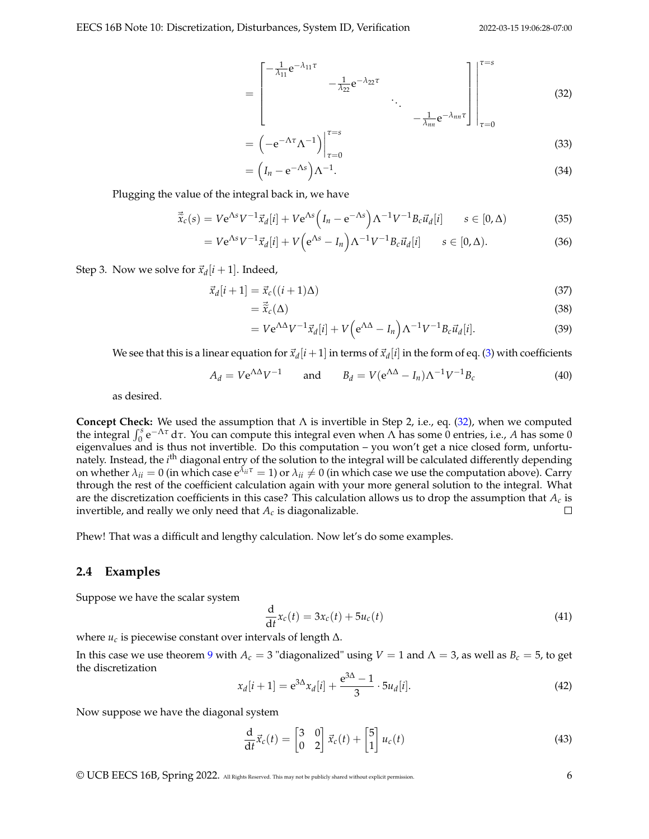<span id="page-5-0"></span>
$$
= \begin{bmatrix} -\frac{1}{\lambda_{11}} e^{-\lambda_{11} \tau} & & \\ & -\frac{1}{\lambda_{22}} e^{-\lambda_{22} \tau} & \\ & & \ddots \\ & & & -\frac{1}{\lambda_{nn}} e^{-\lambda_{nn} \tau} \end{bmatrix} \begin{bmatrix} \tau = s \\ \\ \\ \\ \tau = 0 \end{bmatrix} \tag{32}
$$

$$
= \left(-e^{-\Lambda \tau} \Lambda^{-1}\right)\Big|_{\tau=0}^{\tau=s} \tag{33}
$$

$$
= \left(I_n - e^{-\Lambda s}\right) \Lambda^{-1}.
$$
\n(34)

Plugging the value of the integral back in, we have

$$
\vec{\tilde{x}}_c(s) = V e^{\Lambda s} V^{-1} \vec{x}_d[i] + V e^{\Lambda s} \left( I_n - e^{-\Lambda s} \right) \Lambda^{-1} V^{-1} B_c \vec{u}_d[i] \qquad s \in [0, \Delta)
$$
\n(35)

$$
=Ve^{\Lambda s}V^{-1}\vec{x}_d[i] + V\Big(e^{\Lambda s}-I_n\Big)\Lambda^{-1}V^{-1}B_c\vec{u}_d[i] \qquad s\in[0,\Delta).
$$
 (36)

### Step 3. Now we solve for  $\vec{x}_d[i+1]$ . Indeed,

$$
\vec{x}_d[i+1] = \vec{x}_c((i+1)\Delta) \tag{37}
$$

$$
=\vec{\tilde{x}}_c(\Delta) \tag{38}
$$

$$
=Ve^{\Lambda\Delta}V^{-1}\vec{x}_d[i] + V\Big(e^{\Lambda\Delta} - I_n\Big)\Lambda^{-1}V^{-1}B_c\vec{u}_d[i].
$$
\n(39)

We see that this is a linear equation for  $\vec{x}_d[i+1]$  in terms of  $\vec{x}_d[i]$  in the form of eq. [\(3\)](#page-1-2) with coefficients

$$
A_d = V e^{\Lambda \Delta} V^{-1} \quad \text{and} \quad B_d = V (e^{\Lambda \Delta} - I_n) \Lambda^{-1} V^{-1} B_c \tag{40}
$$

as desired.

**Concept Check:** We used the assumption that Λ is invertible in Step 2, i.e., eq. [\(32\)](#page-5-0), when we computed the integral  $\int_0^s e^{-\Lambda \tau} d\tau$ . You can compute this integral even when Λ has some 0 entries, i.e., *A* has some 0 eigenvalues and is thus not invertible. Do this computation – you won't get a nice closed form, unfortunately. Instead, the *i*<sup>th</sup> diagonal entry of the solution to the integral will be calculated differently depending on whether  $\lambda_{ii} = 0$  (in which case  $e^{\lambda_{ii}\tau} = 1$ ) or  $\lambda_{ii} \neq 0$  (in which case we use the computation above). Carry through the rest of the coefficient calculation again with your more general solution to the integral. What are the discretization coefficients in this case? This calculation allows us to drop the assumption that  $A_c$  is invertible, and really we only need that *A<sup>c</sup>* is diagonalizable.  $\Box$ 

Phew! That was a difficult and lengthy calculation. Now let's do some examples.

#### **2.4 Examples**

Suppose we have the scalar system

$$
\frac{\mathrm{d}}{\mathrm{d}t}x_c(t) = 3x_c(t) + 5u_c(t)
$$
\n(41)

where  $u_c$  is piecewise constant over intervals of length  $\Delta$ .

In this case we use theorem [9](#page-3-1) with  $A_c = 3$  "diagonalized" using  $V = 1$  and  $\Lambda = 3$ , as well as  $B_c = 5$ , to get the discretization

$$
x_d[i+1] = e^{3\Delta} x_d[i] + \frac{e^{3\Delta} - 1}{3} \cdot 5u_d[i].
$$
\n(42)

Now suppose we have the diagonal system

$$
\frac{\mathrm{d}}{\mathrm{d}t}\vec{x}_c(t) = \begin{bmatrix} 3 & 0 \\ 0 & 2 \end{bmatrix}\vec{x}_c(t) + \begin{bmatrix} 5 \\ 1 \end{bmatrix}u_c(t)
$$
\n(43)

© UCB EECS 16B, Spring 2022. All Rights Reserved. This may not be publicly shared without explicit permission. 6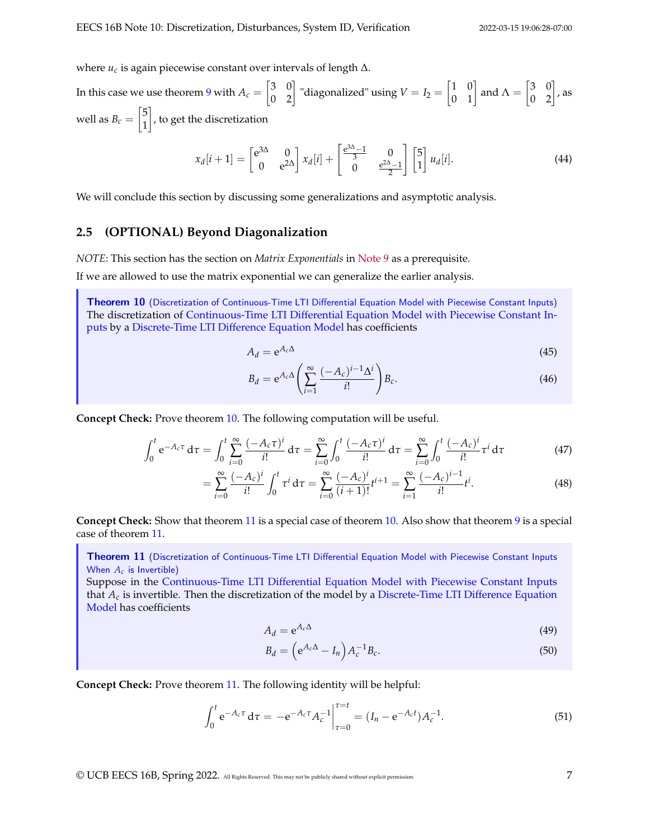where *u<sup>c</sup>* is again piecewise constant over intervals of length ∆.

In this case we use theorem [9](#page-3-1) with  $A_c = \begin{bmatrix} 3 & 0 \ 0 & 2 \end{bmatrix}$  "diagonalized" using  $V = I_2 = \begin{bmatrix} 1 & 0 \ 0 & 1 \end{bmatrix}$  and  $\Lambda = \begin{bmatrix} 3 & 0 \ 0 & 2 \end{bmatrix}$ , as well as  $B_c = \begin{bmatrix} 5 \\ 1 \end{bmatrix}$ 1 , to get the discretization

$$
x_d[i+1] = \begin{bmatrix} e^{3\Delta} & 0\\ 0 & e^{2\Delta} \end{bmatrix} x_d[i] + \begin{bmatrix} \frac{e^{3\Delta}-1}{3} & 0\\ 0 & \frac{e^{2\Delta}-1}{2} \end{bmatrix} \begin{bmatrix} 5\\ 1 \end{bmatrix} u_d[i]. \tag{44}
$$

We will conclude this section by discussing some generalizations and asymptotic analysis.

### **2.5 (OPTIONAL) Beyond Diagonalization**

*NOTE*: This section has the section on *Matrix Exponentials* in [Note 9](https://www.eecs16b.org/notes/sp22/note09.pdf) as a prerequisite.

If we are allowed to use the matrix exponential we can generalize the earlier analysis.

<span id="page-6-0"></span>Theorem 10 (Discretization of [Continuous-Time LTI Differential Equation Model with Piecewise Constant Inputs\)](#page-3-0) The discretization of [Continuous-Time LTI Differential Equation Model with Piecewise Constant In](#page-3-0)[puts](#page-3-0) by a [Discrete-Time LTI Difference Equation Model](#page-1-1) has coefficients

$$
A_d = e^{A_c \Delta} \tag{45}
$$

$$
B_d = e^{A_c \Delta} \left( \sum_{i=1}^{\infty} \frac{(-A_c)^{i-1} \Delta^i}{i!} \right) B_c.
$$
 (46)

**Concept Check:** Prove theorem [10.](#page-6-0) The following computation will be useful.

$$
\int_0^t e^{-A_c \tau} d\tau = \int_0^t \sum_{i=0}^\infty \frac{(-A_c \tau)^i}{i!} d\tau = \sum_{i=0}^\infty \int_0^t \frac{(-A_c \tau)^i}{i!} d\tau = \sum_{i=0}^\infty \int_0^t \frac{(-A_c)^i}{i!} \tau^i d\tau
$$
(47)

$$
= \sum_{i=0}^{\infty} \frac{(-A_c)^i}{i!} \int_0^t \tau^i \, \mathrm{d}\tau = \sum_{i=0}^{\infty} \frac{(-A_c)^i}{(i+1)!} t^{i+1} = \sum_{i=1}^{\infty} \frac{(-A_c)^{i-1}}{i!} t^i.
$$
 (48)

**Concept Check:** Show that theorem [11](#page-6-1) is a special case of theorem [10.](#page-6-0) Also show that theorem [9](#page-3-1) is a special case of theorem [11.](#page-6-1)

<span id="page-6-1"></span>Theorem 11 (Discretization of [Continuous-Time LTI Differential Equation Model with Piecewise Constant Inputs](#page-3-0) When *A<sup>c</sup>* is Invertible)

Suppose in the [Continuous-Time LTI Differential Equation Model with Piecewise Constant Inputs](#page-3-0) that  $A_c$  is invertible. Then the discretization of the model by a [Discrete-Time LTI Difference Equation](#page-1-1) [Model](#page-1-1) has coefficients

$$
A_d = e^{A_c \Delta} \tag{49}
$$

$$
B_d = \left(e^{A_c \Delta} - I_n\right) A_c^{-1} B_c. \tag{50}
$$

**Concept Check:** Prove theorem [11.](#page-6-1) The following identity will be helpful:

$$
\int_0^t e^{-A_c \tau} d\tau = -e^{-A_c \tau} A_c^{-1} \Big|_{\tau=0}^{\tau=t} = (I_n - e^{-A_c t}) A_c^{-1}.
$$
 (51)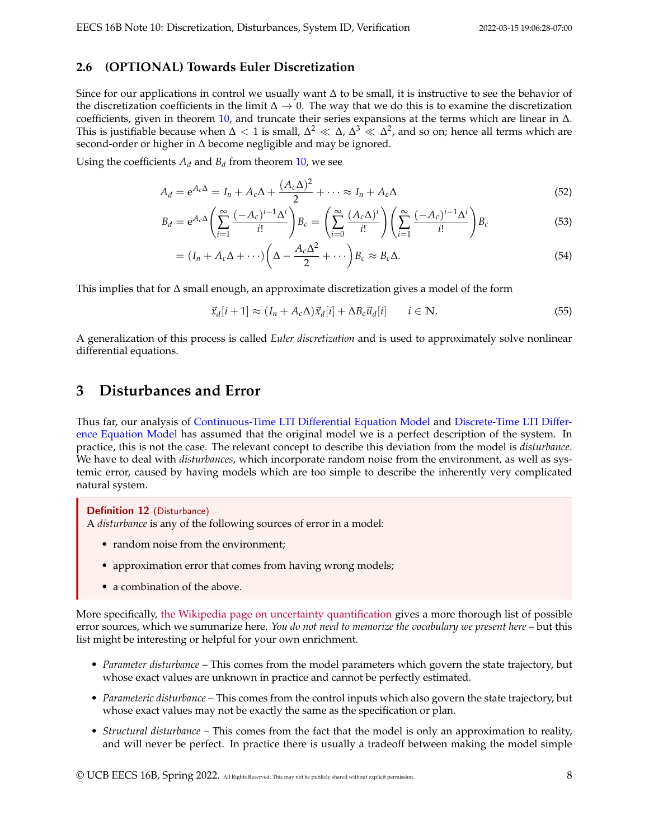## **2.6 (OPTIONAL) Towards Euler Discretization**

Since for our applications in control we usually want ∆ to be small, it is instructive to see the behavior of the discretization coefficients in the limit  $\Delta \to 0$ . The way that we do this is to examine the discretization coefficients, given in theorem [10,](#page-6-0) and truncate their series expansions at the terms which are linear in ∆. This is justifiable because when  $\Delta < 1$  is small,  $\Delta^2 \ll \Delta$ ,  $\Delta^3 \ll \Delta^2$ , and so on; hence all terms which are second-order or higher in ∆ become negligible and may be ignored.

Using the coefficients  $A_d$  and  $B_d$  from theorem [10,](#page-6-0) we see

$$
A_d = e^{A_c \Delta} = I_n + A_c \Delta + \frac{(A_c \Delta)^2}{2} + \dots \approx I_n + A_c \Delta
$$
\n(52)

$$
B_d = e^{A_c \Delta} \left( \sum_{i=1}^{\infty} \frac{(-A_c)^{i-1} \Delta^i}{i!} \right) B_c = \left( \sum_{i=0}^{\infty} \frac{(A_c \Delta)^i}{i!} \right) \left( \sum_{i=1}^{\infty} \frac{(-A_c)^{i-1} \Delta^i}{i!} \right) B_c \tag{53}
$$

$$
= (I_n + A_c \Delta + \cdots) \left( \Delta - \frac{A_c \Delta^2}{2} + \cdots \right) B_c \approx B_c \Delta.
$$
 (54)

This implies that for ∆ small enough, an approximate discretization gives a model of the form

$$
\vec{x}_d[i+1] \approx (I_n + A_c \Delta) \vec{x}_d[i] + \Delta B_c \vec{u}_d[i] \qquad i \in \mathbb{N}.
$$
\n(55)

A generalization of this process is called *Euler discretization* and is used to approximately solve nonlinear differential equations.

# **3 Disturbances and Error**

Thus far, our analysis of [Continuous-Time LTI Differential Equation Model](#page-1-0) and [Discrete-Time LTI Differ](#page-1-1)[ence Equation Model](#page-1-1) has assumed that the original model we is a perfect description of the system. In practice, this is not the case. The relevant concept to describe this deviation from the model is *disturbance*. We have to deal with *disturbances*, which incorporate random noise from the environment, as well as systemic error, caused by having models which are too simple to describe the inherently very complicated natural system.

Definition 12 (Disturbance) A *disturbance* is any of the following sources of error in a model:

- random noise from the environment;
- approximation error that comes from having wrong models;
- a combination of the above.

More specifically, [the Wikipedia page on uncertainty quantification](https://en.wikipedia.org/wiki/Uncertainty_quantification) gives a more thorough list of possible error sources, which we summarize here. *You do not need to memorize the vocabulary we present here* – but this list might be interesting or helpful for your own enrichment.

- *Parameter disturbance* This comes from the model parameters which govern the state trajectory, but whose exact values are unknown in practice and cannot be perfectly estimated.
- *Parameteric disturbance* This comes from the control inputs which also govern the state trajectory, but whose exact values may not be exactly the same as the specification or plan.
- *Structural disturbance* This comes from the fact that the model is only an approximation to reality, and will never be perfect. In practice there is usually a tradeoff between making the model simple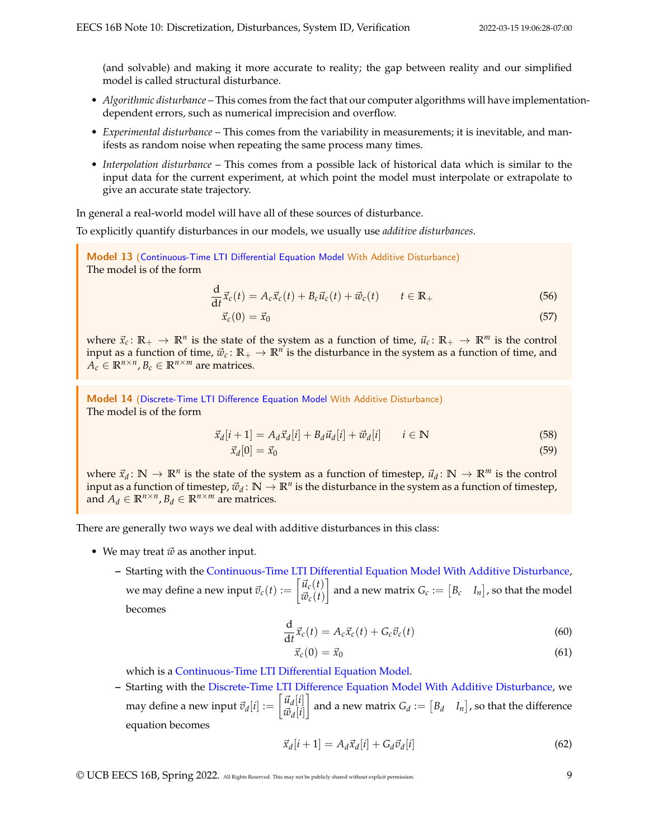(and solvable) and making it more accurate to reality; the gap between reality and our simplified model is called structural disturbance.

- *Algorithmic disturbance* This comes from the fact that our computer algorithms will have implementationdependent errors, such as numerical imprecision and overflow.
- *Experimental disturbance* This comes from the variability in measurements; it is inevitable, and manifests as random noise when repeating the same process many times.
- *Interpolation disturbance* This comes from a possible lack of historical data which is similar to the input data for the current experiment, at which point the model must interpolate or extrapolate to give an accurate state trajectory.

In general a real-world model will have all of these sources of disturbance.

To explicitly quantify disturbances in our models, we usually use *additive disturbances*.

<span id="page-8-0"></span>Model 13 [\(Continuous-Time LTI Differential Equation Model](#page-1-0) With Additive Disturbance) The model is of the form

$$
\frac{\mathrm{d}}{\mathrm{d}t}\vec{x}_c(t) = A_c \vec{x}_c(t) + B_c \vec{u}_c(t) + \vec{w}_c(t) \qquad t \in \mathbb{R}_+
$$
\n(56)

$$
\vec{x}_c(0) = \vec{x}_0 \tag{57}
$$

where  $\vec{x}_c \colon \mathbb{R}_+ \to \mathbb{R}^n$  is the state of the system as a function of time,  $\vec{u}_c \colon \mathbb{R}_+ \to \mathbb{R}^m$  is the control input as a function of time,  $\vec{w}_c \colon \mathbb{R}_+ \to \mathbb{R}^n$  is the disturbance in the system as a function of time, and  $A_c \in \mathbb{R}^{n \times n}$ ,  $B_c \in \mathbb{R}^{n \times m}$  are matrices.

<span id="page-8-1"></span>Model 14 [\(Discrete-Time LTI Difference Equation Model](#page-1-1) With Additive Disturbance) The model is of the form

$$
\vec{x}_d[i+1] = A_d \vec{x}_d[i] + B_d \vec{u}_d[i] + \vec{w}_d[i] \qquad i \in \mathbb{N}
$$
\n(58)

$$
\vec{x}_d[0] = \vec{x}_0 \tag{59}
$$

where  $\vec{x}_d \colon \mathbb{N} \to \mathbb{R}^n$  is the state of the system as a function of timestep,  $\vec{u}_d \colon \mathbb{N} \to \mathbb{R}^m$  is the control input as a function of timestep,  $\vec{w}_d\colon\mathbb{N}\to\mathbb{R}^n$  is the disturbance in the system as a function of timestep, and  $A_d \in \mathbb{R}^{n \times n}$ ,  $B_d \in \mathbb{R}^{n \times m}$  are matrices.

There are generally two ways we deal with additive disturbances in this class:

- We may treat  $\vec{w}$  as another input.
	- **–** Starting with the [Continuous-Time LTI Differential Equation Model](#page-8-0) With Additive Disturbance, we may define a new input  $\vec{v}_c(t) := \begin{bmatrix} \vec{u}_c(t) \\ \vec{v}_c(t) \end{bmatrix}$  $\vec{w}_c(t)$  $\Big]$  and a new matrix  $G_c := \begin{bmatrix} B_c & I_n \end{bmatrix}$ , so that the model becomes

$$
\frac{\mathrm{d}}{\mathrm{d}t}\vec{x}_c(t) = A_c \vec{x}_c(t) + G_c \vec{v}_c(t)
$$
\n(60)

$$
\vec{x}_c(0) = \vec{x}_0 \tag{61}
$$

which is a [Continuous-Time LTI Differential Equation Model.](#page-1-0)

**–** Starting with the [Discrete-Time LTI Difference Equation Model](#page-8-1) With Additive Disturbance, we may define a new input  $\vec{v}_d[i] := \begin{bmatrix} \vec{u}_d[i] \ \vec{v}_d[i] \end{bmatrix}$  $\vec{w}_d[i]$  $\Big]$  and a new matrix  $G_d := \begin{bmatrix} B_d & I_n \end{bmatrix}$ , so that the difference equation becomes

$$
\vec{x}_d[i+1] = A_d \vec{x}_d[i] + G_d \vec{v}_d[i] \tag{62}
$$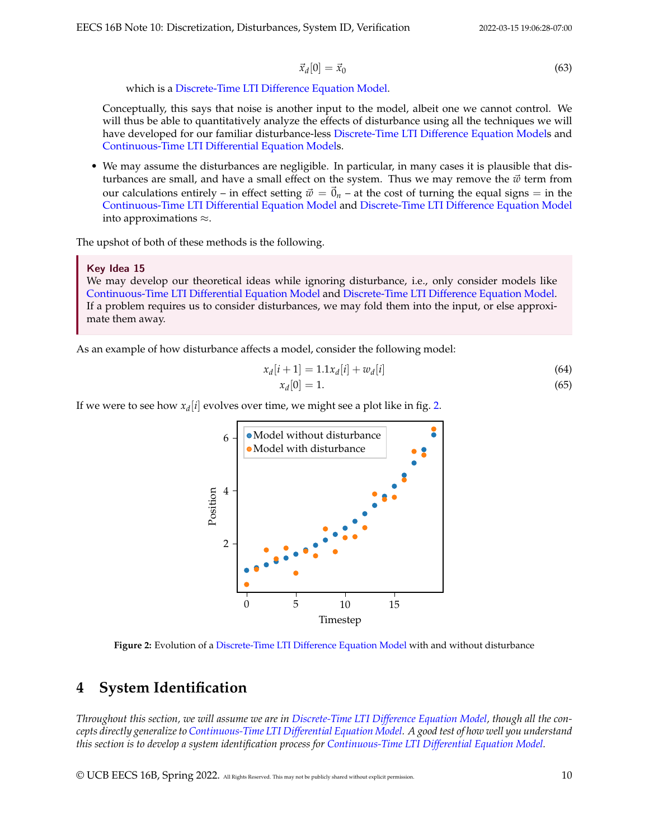$$
\vec{x}_d[0] = \vec{x}_0 \tag{63}
$$

which is a [Discrete-Time LTI Difference Equation Model.](#page-1-1)

Conceptually, this says that noise is another input to the model, albeit one we cannot control. We will thus be able to quantitatively analyze the effects of disturbance using all the techniques we will have developed for our familiar disturbance-less [Discrete-Time LTI Difference Equation Models](#page-1-1) and [Continuous-Time LTI Differential Equation Models](#page-1-0).

• We may assume the disturbances are negligible. In particular, in many cases it is plausible that disturbances are small, and have a small effect on the system. Thus we may remove the  $\vec{w}$  term from our calculations entirely – in effect setting  $\vec{w} = \vec{0}_n$  – at the cost of turning the equal signs  $=$  in the [Continuous-Time LTI Differential Equation Model](#page-1-0) and [Discrete-Time LTI Difference Equation Model](#page-1-1) into approximations ≈.

The upshot of both of these methods is the following.

Key Idea 15

We may develop our theoretical ideas while ignoring disturbance, i.e., only consider models like [Continuous-Time LTI Differential Equation Model](#page-1-0) and [Discrete-Time LTI Difference Equation Model.](#page-1-1) If a problem requires us to consider disturbances, we may fold them into the input, or else approximate them away.

As an example of how disturbance affects a model, consider the following model:

$$
x_d[i+1] = 1.1x_d[i] + w_d[i] \tag{64}
$$

$$
x_d[0] = 1.\t\t(65)
$$

<span id="page-9-0"></span>If we were to see how  $x_d[i]$  evolves over time, we might see a plot like in fig. [2.](#page-9-0)



**Figure 2:** Evolution of a [Discrete-Time LTI Difference Equation Model](#page-1-1) with and without disturbance

# **4 System Identification**

*Throughout this section, we will assume we are in [Discrete-Time LTI Difference Equation Model,](#page-1-1) though all the concepts directly generalize to [Continuous-Time LTI Differential Equation Model.](#page-1-0) A good test of how well you understand this section is to develop a system identification process for [Continuous-Time LTI Differential Equation Model.](#page-1-0)*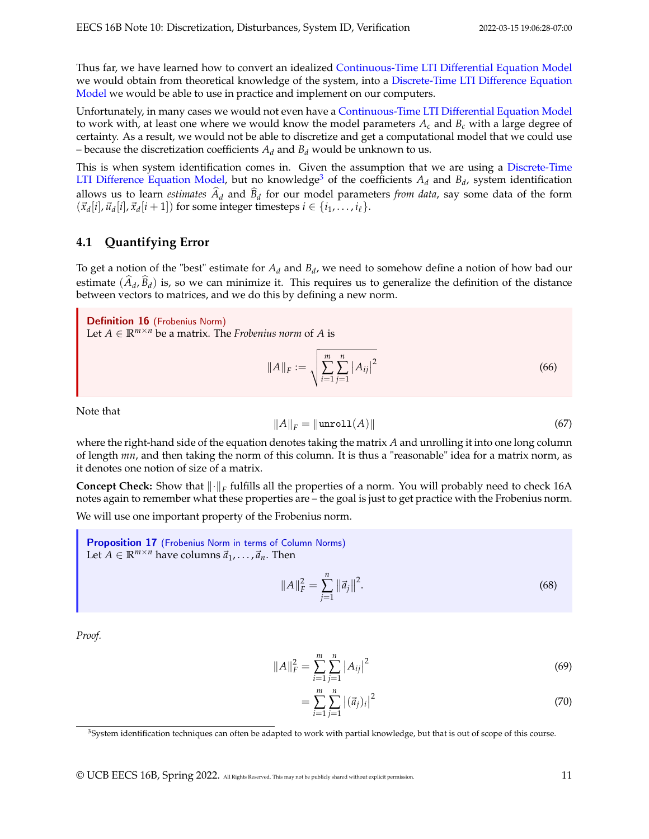Thus far, we have learned how to convert an idealized [Continuous-Time LTI Differential Equation Model](#page-1-0) we would obtain from theoretical knowledge of the system, into a [Discrete-Time LTI Difference Equation](#page-1-1) [Model](#page-1-1) we would be able to use in practice and implement on our computers.

Unfortunately, in many cases we would not even have a [Continuous-Time LTI Differential Equation Model](#page-1-0) to work with, at least one where we would know the model parameters  $A_c$  and  $B_c$  with a large degree of certainty. As a result, we would not be able to discretize and get a computational model that we could use – because the discretization coefficients  $A_d$  and  $B_d$  would be unknown to us.

This is when system identification comes in. Given the assumption that we are using a [Discrete-Time](#page-1-1) [LTI Difference Equation Model,](#page-1-1) but no knowledge<sup>[3](#page-10-0)</sup> of the coefficients  $A_d$  and  $B_d$ , system identification allows us to learn *estimates*  $A_d$  and  $B_d$  for our model parameters *from data*, say some data of the form  $(\vec{x}_d[i], \vec{u}_d[i], \vec{x}_d[i+1])$  for some integer timesteps  $i \in \{i_1, \ldots, i_\ell\}.$ 

## **4.1 Quantifying Error**

To get a notion of the "best" estimate for *A<sup>d</sup>* and *B<sup>d</sup>* , we need to somehow define a notion of how bad our estimate  $(A_d, B_d)$  is, so we can minimize it. This requires us to generalize the definition of the distance between vectors to matrices, and we do this by defining a new norm.

Definition 16 (Frobenius Norm) Let  $A \in \mathbb{R}^{m \times n}$  be a matrix. The *Frobenius norm* of A is

$$
||A||_F := \sqrt{\sum_{i=1}^m \sum_{j=1}^n |A_{ij}|^2}
$$
 (66)

Note that

$$
||A||_F = ||\text{unroll}(A)|| \tag{67}
$$

where the right-hand side of the equation denotes taking the matrix *A* and unrolling it into one long column of length *mn*, and then taking the norm of this column. It is thus a "reasonable" idea for a matrix norm, as it denotes one notion of size of a matrix.

**Concept Check:** Show that ∥·∥*<sup>F</sup>* fulfills all the properties of a norm. You will probably need to check 16A notes again to remember what these properties are – the goal is just to get practice with the Frobenius norm.

We will use one important property of the Frobenius norm.

<span id="page-10-1"></span>Proposition 17 (Frobenius Norm in terms of Column Norms) Let *A*  $\in \mathbb{R}^{m \times n}$  have columns  $\vec{a}_1, \ldots, \vec{a}_n$ . Then

$$
||A||_F^2 = \sum_{j=1}^n ||\vec{a}_j||^2.
$$
 (68)

*Proof.*

$$
||A||_F^2 = \sum_{i=1}^m \sum_{j=1}^n |A_{ij}|^2
$$
\n(69)

$$
=\sum_{i=1}^{m}\sum_{j=1}^{n} |(\vec{a}_j)_i|^2
$$
\n(70)

<span id="page-10-0"></span><sup>&</sup>lt;sup>3</sup>System identification techniques can often be adapted to work with partial knowledge, but that is out of scope of this course.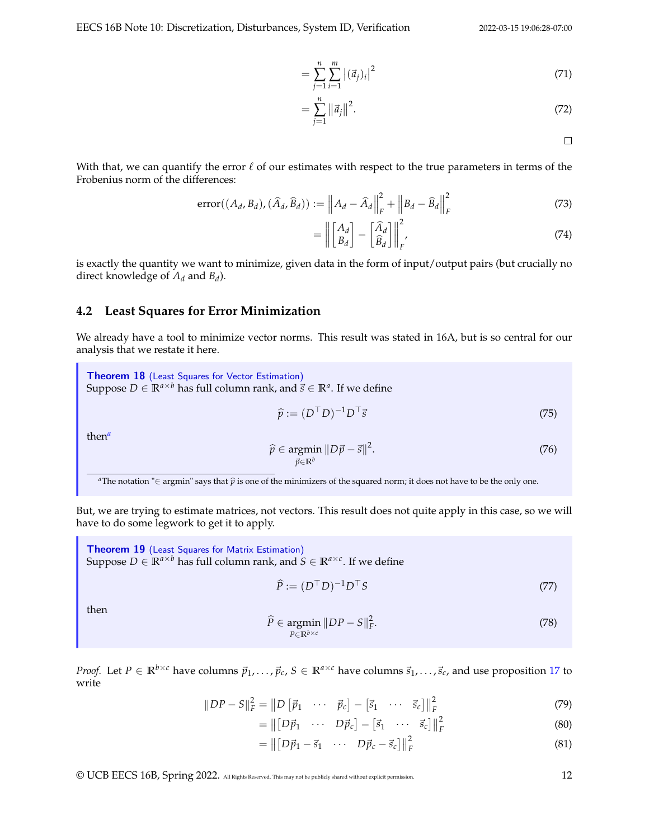$$
=\sum_{j=1}^{n}\sum_{i=1}^{m} |(\vec{a}_{j})_{i}|^{2} \tag{71}
$$

$$
=\sum_{j=1}^{n}||\vec{a}_{j}||^{2}.
$$
\n(72)

 $\Box$ 

With that, we can quantify the error  $\ell$  of our estimates with respect to the true parameters in terms of the Frobenius norm of the differences:

$$
\text{error}((A_d, B_d), (\widehat{A}_d, \widehat{B}_d)) := \left\| A_d - \widehat{A}_d \right\|_F^2 + \left\| B_d - \widehat{B}_d \right\|_F^2 \tag{73}
$$

$$
= \left\| \begin{bmatrix} A_d \\ B_d \end{bmatrix} - \begin{bmatrix} \widehat{A}_d \\ \widehat{B}_d \end{bmatrix} \right\|_F^2, \tag{74}
$$

is exactly the quantity we want to minimize, given data in the form of input/output pairs (but crucially no direct knowledge of *A<sup>d</sup>* and *B<sup>d</sup>* ).

#### **4.2 Least Squares for Error Minimization**

We already have a tool to minimize vector norms. This result was stated in 16A, but is so central for our analysis that we restate it here.

<span id="page-11-1"></span>Theorem 18 (Least Squares for Vector Estimation) Suppose  $D \in \mathbb{R}^{a \times b}$  has full column rank, and  $\vec{s} \in \mathbb{R}^a$ . If we define

$$
\widehat{p} := (D^{\top} D)^{-1} D^{\top} \vec{s} \tag{75}
$$

then*[a](#page-11-0)*

$$
\widehat{p} \in \underset{\vec{p} \in \mathbb{R}^b}{\text{argmin}} \, \|D\vec{p} - \vec{s}\|^2. \tag{76}
$$

<span id="page-11-0"></span>*a*The notation "∈ argmin" says that  $\hat{p}$  is one of the minimizers of the squared norm; it does not have to be the only one.

But, we are trying to estimate matrices, not vectors. This result does not quite apply in this case, so we will have to do some legwork to get it to apply.

**Theorem 19** (Least Squares for Matrix Estimation) Suppose  $D \in \mathbb{R}^{a \times b}$  has full column rank, and  $S \in \mathbb{R}^{a \times c}$ . If we define

$$
\widehat{P} := (D^{\top} D)^{-1} D^{\top} S \tag{77}
$$

then

$$
\widehat{P} \in \underset{P \in \mathbb{R}^{b \times c}}{\operatorname{argmin}} \ \|DP - S\|_F^2. \tag{78}
$$

*Proof.* Let  $P \in \mathbb{R}^{b \times c}$  have columns  $\vec{p}_1, \ldots, \vec{p}_c, S \in \mathbb{R}^{a \times c}$  have columns  $\vec{s}_1, \ldots, \vec{s}_c$ , and use proposition [17](#page-10-1) to write

$$
||DP - S||F2 = ||D [ \vec{p}_1 \cdots \vec{p}_c] - [\vec{s}_1 \cdots \vec{s}_c] ||F2
$$
 (79)

$$
= \left\| \begin{bmatrix} D\vec{p}_1 & \cdots & D\vec{p}_c \end{bmatrix} - \begin{bmatrix} \vec{s}_1 & \cdots & \vec{s}_c \end{bmatrix} \right\|_F^2 \tag{80}
$$

$$
= \left\| \begin{bmatrix} D\vec{p}_1 - \vec{s}_1 & \cdots & D\vec{p}_c - \vec{s}_c \end{bmatrix} \right\|_F^2 \tag{81}
$$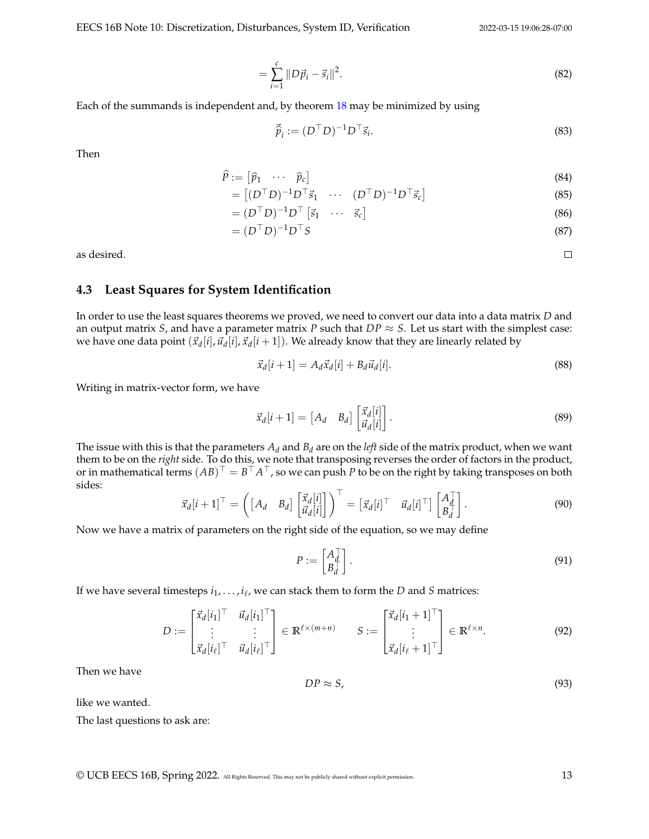EECS 16B Note 10: Discretization, Disturbances, System ID, Verification 2022-03-15 19:06:28-07:00

$$
= \sum_{i=1}^{c} \|D\vec{p}_i - \vec{s}_i\|^2.
$$
 (82)

Each of the summands is independent and, by theorem [18](#page-11-1) may be minimized by using

$$
\vec{\hat{p}}_i := (D^\top D)^{-1} D^\top \vec{s}_i. \tag{83}
$$

Then

$$
\widehat{P} := \begin{bmatrix} \widehat{p}_1 & \cdots & \widehat{p}_c \end{bmatrix} \tag{84}
$$

$$
= [(DTD)-1DT \vec{s}1 \cdots (DTD)-1DT \vec{s}c]
$$
\n(85)

$$
= (D^{\top} D)^{-1} D^{\top} \begin{bmatrix} \vec{s}_1 & \cdots & \vec{s}_c \end{bmatrix}
$$
 (86)

$$
= (DT D)-1 DT S
$$
\n(87)

as desired.

#### **4.3 Least Squares for System Identification**

In order to use the least squares theorems we proved, we need to convert our data into a data matrix *D* and an output matrix *S*, and have a parameter matrix *P* such that  $DP \approx S$ . Let us start with the simplest case: we have one data point  $(\vec{x}_d[i], \vec{u}_d[i], \vec{x}_d[i+1])$ . We already know that they are linearly related by

$$
\vec{x}_d[i+1] = A_d \vec{x}_d[i] + B_d \vec{u}_d[i]. \tag{88}
$$

Writing in matrix-vector form, we have

$$
\vec{x}_d[i+1] = \begin{bmatrix} A_d & B_d \end{bmatrix} \begin{bmatrix} \vec{x}_d[i] \\ \vec{u}_d[i] \end{bmatrix} . \tag{89}
$$

The issue with this is that the parameters *A<sup>d</sup>* and *B<sup>d</sup>* are on the *left* side of the matrix product, when we want them to be on the *right* side. To do this, we note that transposing reverses the order of factors in the product, or in mathematical terms  $(AB)^{\top} = B^{\top}A^{\top}$ , so we can push *P* to be on the right by taking transposes on both sides:

$$
\vec{x}_d[i+1]^\top = \left( \begin{bmatrix} A_d & B_d \end{bmatrix} \begin{bmatrix} \vec{x}_d[i] \\ \vec{u}_d[i] \end{bmatrix} \right)^\top = \begin{bmatrix} \vec{x}_d[i]^\top & \vec{u}_d[i]^\top \end{bmatrix} \begin{bmatrix} A_d^\top \\ B_d^\top \end{bmatrix} . \tag{90}
$$

Now we have a matrix of parameters on the right side of the equation, so we may define

$$
P := \begin{bmatrix} A_d^\top \\ B_d^\top \end{bmatrix} . \tag{91}
$$

If we have several timesteps *i*1, . . . , *i*<sup>ℓ</sup> , we can stack them to form the *D* and *S* matrices:

$$
D := \begin{bmatrix} \vec{x}_d[i_1]^\top & \vec{u}_d[i_1]^\top \\ \vdots & \vdots \\ \vec{x}_d[i_\ell]^\top & \vec{u}_d[i_\ell]^\top \end{bmatrix} \in \mathbb{R}^{\ell \times (m+n)} \qquad S := \begin{bmatrix} \vec{x}_d[i_1 + 1]^\top \\ \vdots \\ \vec{x}_d[i_\ell + 1]^\top \end{bmatrix} \in \mathbb{R}^{\ell \times n}.\tag{92}
$$

Then we have

$$
DP \approx S,\tag{93}
$$

like we wanted.

The last questions to ask are:

© UCB EECS 16B, Spring 2022. All Rights Reserved. This may not be publicly shared without explicit permission. 13

 $\Box$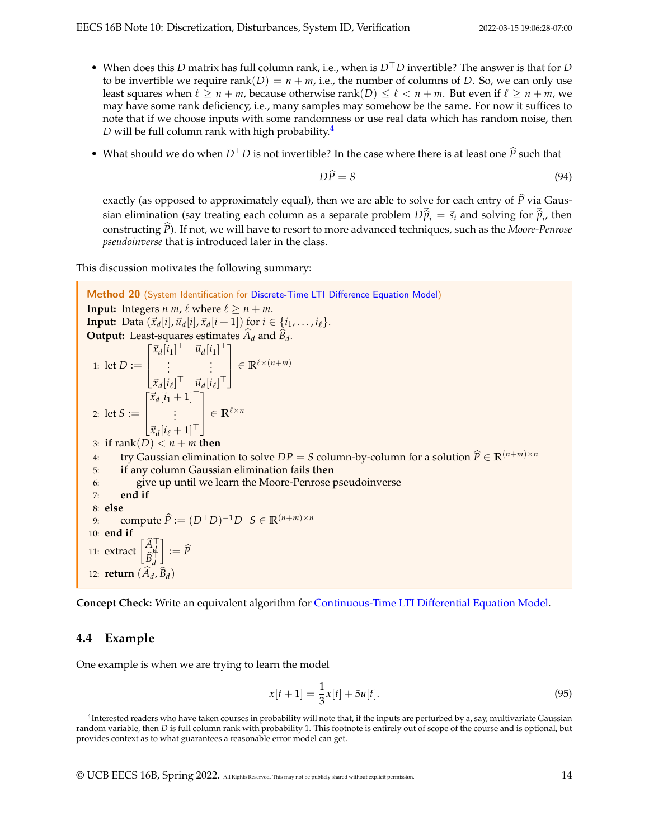- When does this *D* matrix has full column rank, i.e., when is *D*⊤*D* invertible? The answer is that for *D* to be invertible we require rank $(D) = n + m$ , i.e., the number of columns of *D*. So, we can only use least squares when  $\ell \ge n + m$ , because otherwise rank $(D) \le \ell < n + m$ . But even if  $\ell \ge n + m$ , we may have some rank deficiency, i.e., many samples may somehow be the same. For now it suffices to note that if we choose inputs with some randomness or use real data which has random noise, then *D* will be full column rank with high probability.<sup>[4](#page-13-0)</sup>
- What should we do when  $D<sup>T</sup>D$  is not invertible? In the case where there is at least one  $\hat{P}$  such that

$$
D\widehat{P} = S \tag{94}
$$

exactly (as opposed to approximately equal), then we are able to solve for each entry of  $\hat{P}$  via Gaussian elimination (say treating each column as a separate problem  $D\vec{p}_i = \vec{s}_i$  and solving for  $\vec{p}_i$ , then constructing *<sup>P</sup>*b). If not, we will have to resort to more advanced techniques, such as the *Moore-Penrose pseudoinverse* that is introduced later in the class.

This discussion motivates the following summary:

Method 20 (System Identification for [Discrete-Time LTI Difference Equation Model\)](#page-1-1) **Input:** Integers *n m*,  $\ell$  where  $\ell \ge n + m$ . **Input:** Data  $(\vec{x}_d[i], \vec{u}_d[i], \vec{x}_d[i+1])$  for  $i \in \{i_1, \ldots, i_\ell\}$ . **Output:** Least-squares estimates  $A_d$  and  $B_d$ . 1: let *D* :=  $\sqrt{ }$  $\parallel$  $\vec{x}_d[i_1]^\top$   $\vec{u}_d[i_1]^\top$  $\vdots$  :  $[\vec{x}_d[i_\ell]^\top$   $\vec{u}_d[i_\ell]^\top$ 1  $\parallel$  $\in \mathbb{R}^{\ell \times (n+m)}$ 2: let *S* :=  $\lceil$  $\Big\}$  $\vec{x}_d[i_1+1]$ <sup>⊤</sup> . . .  $\vec{x}_d[i_\ell+1]^\top$ 1  $\begin{array}{c} \hline \end{array}$  $\in \mathbb{R}^{\ell \times n}$ 3: **if** rank(*D*)  $< n + m$  **then** 4: try Gaussian elimination to solve *DP* = *S* column-by-column for a solution  $\hat{P} \in \mathbb{R}^{(n+m)\times n}$ <br>5: **if** any column Gaussian elimination fails **then** 5: **if** any column Gaussian elimination fails **then** 6: give up until we learn the Moore-Penrose pseudoinverse 7: **end if** 8: **else** 9: compute  $\widehat{P} := (D^\top D)^{-1}D^\top S \in \mathbb{R}^{(n+m)\times n}$ 10: **end if** 11: extract  $\begin{bmatrix} \widehat{A}_d^\top \\ \widehat{B}_d^\top \end{bmatrix}$  $\Big] := \widehat{P}$ 12: **return**  $(A_d, B_d)$ 

**Concept Check:** Write an equivalent algorithm for [Continuous-Time LTI Differential Equation Model.](#page-1-0)

#### **4.4 Example**

One example is when we are trying to learn the model

$$
x[t+1] = \frac{1}{3}x[t] + 5u[t].
$$
\n(95)

<span id="page-13-0"></span> $^4$ Interested readers who have taken courses in probability will note that, if the inputs are perturbed by a, say, multivariate Gaussian random variable, then *D* is full column rank with probability 1. This footnote is entirely out of scope of the course and is optional, but provides context as to what guarantees a reasonable error model can get.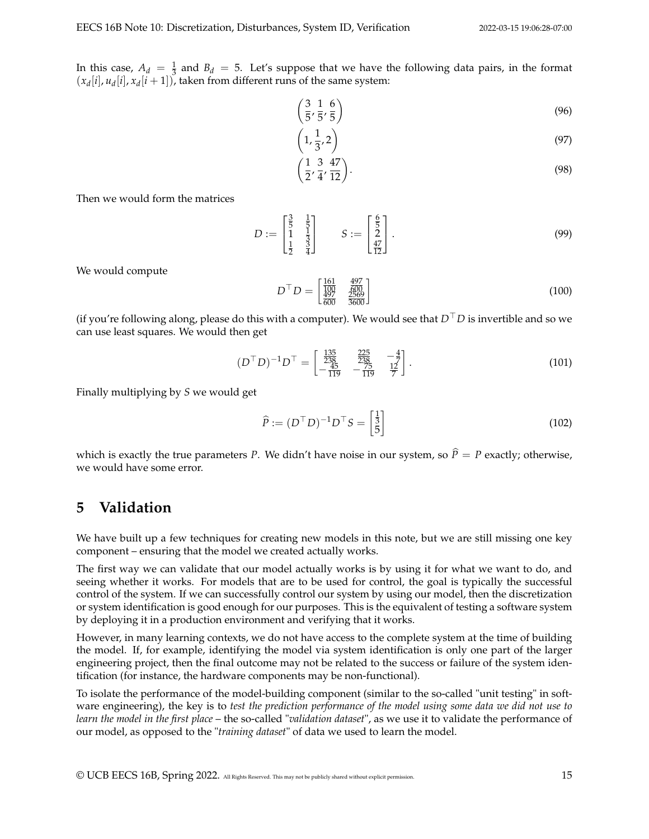In this case,  $A_d = \frac{1}{3}$  and  $B_d = 5$ . Let's suppose that we have the following data pairs, in the format  $(x_d[i], u_d[i], x_d[i+1])$ , taken from different runs of the same system:

$$
\left(\frac{3}{5}, \frac{1}{5}, \frac{6}{5}\right) \tag{96}
$$

$$
\left(1, \frac{1}{3}, 2\right) \tag{97}
$$

$$
\left(\frac{1}{2}, \frac{3}{4}, \frac{47}{12}\right). \tag{98}
$$

Then we would form the matrices

$$
D := \begin{bmatrix} \frac{3}{5} & \frac{1}{5} \\ 1 & \frac{1}{3} \\ \frac{1}{2} & \frac{3}{4} \end{bmatrix} \qquad S := \begin{bmatrix} \frac{6}{5} \\ 2 \\ \frac{47}{12} \end{bmatrix} . \tag{99}
$$

We would compute

$$
D^{\top} D = \begin{bmatrix} \frac{161}{100} & \frac{497}{600} \\ \frac{497}{600} & \frac{2569}{3600} \end{bmatrix}
$$
 (100)

(if you're following along, please do this with a computer). We would see that *D*⊤*D* is invertible and so we can use least squares. We would then get

$$
(D^{\top}D)^{-1}D^{\top} = \begin{bmatrix} \frac{135}{238} & \frac{225}{238} & -\frac{4}{7} \\ -\frac{45}{119} & -\frac{75}{119} & \frac{12}{7} \end{bmatrix}.
$$
 (101)

Finally multiplying by *S* we would get

$$
\widehat{P} := (D^{\top} D)^{-1} D^{\top} S = \begin{bmatrix} \frac{1}{3} \\ 5 \end{bmatrix}
$$
\n(102)

which is exactly the true parameters *P*. We didn't have noise in our system, so  $\hat{P} = P$  exactly; otherwise, we would have some error.

## **5 Validation**

We have built up a few techniques for creating new models in this note, but we are still missing one key component – ensuring that the model we created actually works.

The first way we can validate that our model actually works is by using it for what we want to do, and seeing whether it works. For models that are to be used for control, the goal is typically the successful control of the system. If we can successfully control our system by using our model, then the discretization or system identification is good enough for our purposes. This is the equivalent of testing a software system by deploying it in a production environment and verifying that it works.

However, in many learning contexts, we do not have access to the complete system at the time of building the model. If, for example, identifying the model via system identification is only one part of the larger engineering project, then the final outcome may not be related to the success or failure of the system identification (for instance, the hardware components may be non-functional).

To isolate the performance of the model-building component (similar to the so-called "unit testing" in software engineering), the key is to *test the prediction performance of the model using some data we did not use to learn the model in the first place* – the so-called "*validation dataset*", as we use it to validate the performance of our model, as opposed to the "*training dataset*" of data we used to learn the model.